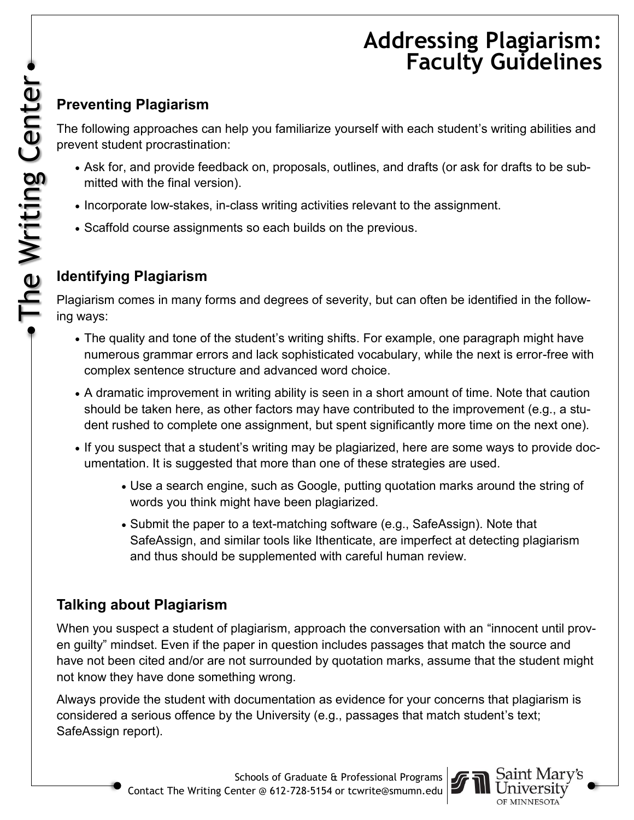# **Addressing Plagiarism: Faculty Guidelines**

### **Preventing Plagiarism**

The following approaches can help you familiarize yourself with each student's writing abilities and prevent student procrastination:

- Ask for, and provide feedback on, proposals, outlines, and drafts (or ask for drafts to be submitted with the final version).
- Incorporate low-stakes, in-class writing activities relevant to the assignment.
- Scaffold course assignments so each builds on the previous.

#### **Identifying Plagiarism**

Plagiarism comes in many forms and degrees of severity, but can often be identified in the following ways:

- The quality and tone of the student's writing shifts. For example, one paragraph might have numerous grammar errors and lack sophisticated vocabulary, while the next is error-free with complex sentence structure and advanced word choice.
- A dramatic improvement in writing ability is seen in a short amount of time. Note that caution should be taken here, as other factors may have contributed to the improvement (e.g., a student rushed to complete one assignment, but spent significantly more time on the next one).
- If you suspect that a student's writing may be plagiarized, here are some ways to provide documentation. It is suggested that more than one of these strategies are used.
	- Use a search engine, such as Google, putting quotation marks around the string of words you think might have been plagiarized.
	- Submit the paper to a text-matching software (e.g., SafeAssign). Note that SafeAssign, and similar tools like Ithenticate, are imperfect at detecting plagiarism and thus should be supplemented with careful human review.

#### **Talking about Plagiarism**

When you suspect a student of plagiarism, approach the conversation with an "innocent until proven guilty" mindset. Even if the paper in question includes passages that match the source and have not been cited and/or are not surrounded by quotation marks, assume that the student might not know they have done something wrong.

Always provide the student with documentation as evidence for your concerns that plagiarism is considered a serious offence by the University (e.g., passages that match student's text; SafeAssign report).